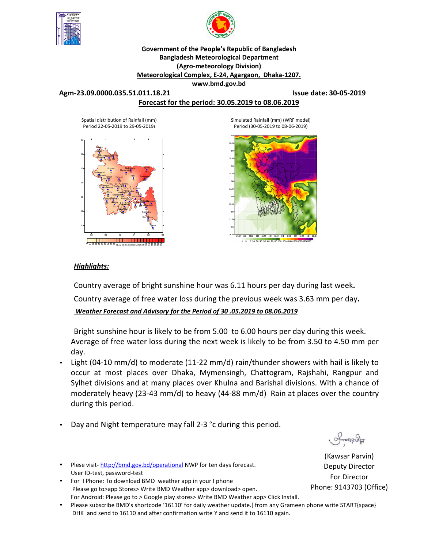



### **Government of the People's Republic of Bangladesh Bangladesh Meteorological Department (Agro-meteorology Division) Meteorological Complex, E-24, Agargaon, Dhaka-1207.**

**www.bmd.gov.bd** 

#### **Agm-23.09.0000.035.51.011.18.21 Issue date: 30-05-2019**

### **Forecast for the period: 30.05.2019 to 08.06.2019**

Spatial distribution of Rainfall (mm) Period 22-05-2019 to 29-05-2019)



Simulated Rainfall (mm) (WRF model) Period (30-05-2019 to 08-06-2019)



### *Highlights:*

Country average of bright sunshine hour was 6.11 hours per day during last week**.** 

Country average of free water loss during the previous week was 3.63 mm per day**.** 

*Weather Forecast and Advisory for the Period of 30 .05.2019 to 08.06.2019*

Bright sunshine hour is likely to be from 5.00 to 6.00 hours per day during this week. Average of free water loss during the next week is likely to be from 3.50 to 4.50 mm per day.

- Light (04-10 mm/d) to moderate (11-22 mm/d) rain/thunder showers with hail is likely to occur at most places over Dhaka, Mymensingh, Chattogram, Rajshahi, Rangpur and Sylhet divisions and at many places over Khulna and Barishal divisions. With a chance of moderately heavy (23-43 mm/d) to heavy (44-88 mm/d) Rain at places over the country during this period.
- Day and Night temperature may fall 2-3 °c during this period.

Imanaca

(Kawsar Parvin) Deputy Director For Director Phone: 9143703 (Office)

Plese visit-http://bmd.gov.bd/operational NWP for ten days forecast. User ID-test, password-test

- For I Phone: To download BMD weather app in your I phone Please go to>app Stores> Write BMD Weather app> download> open. For Android: Please go to > Google play stores> Write BMD Weather app> Click Install.
- Please subscribe BMD's shortcode '16110' for daily weather update.[ from any Grameen phone write START{space} DHK and send to 16110 and after confirmation write Y and send it to 16110 again.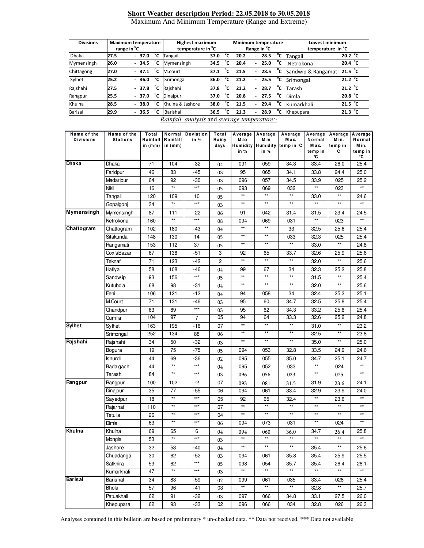#### **Short Weather description Period: 22.05.2018 to 30.05.2018** Maximum And Minimum Temperature (Range and Extreme)

| <b>Divisions</b> | <b>Maximum temperature</b><br>range in <sup>o</sup> C |  |                          |         |              | <b>Highest maximum</b><br>temperature in <sup>o</sup> C |      |                | Minimum temperature<br>Range in <sup>o</sup> C |                          |         |    | Lowest minimum<br>temperature in <sup>o</sup> C |                   |  |
|------------------|-------------------------------------------------------|--|--------------------------|---------|--------------|---------------------------------------------------------|------|----------------|------------------------------------------------|--------------------------|---------|----|-------------------------------------------------|-------------------|--|
|                  |                                                       |  |                          |         |              |                                                         |      |                |                                                |                          |         |    |                                                 |                   |  |
| <b>Dhaka</b>     | 27.5                                                  |  |                          | $-37.0$ | °⊂           | Tangail                                                 | 37.0 | °c             | 20.2                                           | -                        | 28.5    | °c | Tangail                                         | 20.2 $^{\circ}$ C |  |
| Mymensingh       | 26.0                                                  |  |                          | $-34.5$ | $^{\circ}$ c | Mymensingh                                              | 34.5 | °c             | 20.4                                           |                          | $-25.0$ | °c | Netrokona                                       | 20.4 $\degree$ C  |  |
| Chittagong       | 27.0                                                  |  |                          | $-37.1$ | °c           | M.court                                                 | 37.1 | °c.            | 21.5                                           |                          | $-28.5$ | °c | Sandwip & Rangamati 21.5 °C                     |                   |  |
| Sylhet           | 25.2                                                  |  |                          | $-36.0$ | °c           | Srimongal                                               | 36.0 | $\overline{c}$ | 21.2                                           | $\overline{\phantom{0}}$ | 25.5    | °c | Srimongal                                       | 21.2 $^{\circ}$ C |  |
| Rajshahi         | 27.5                                                  |  |                          | $-37.8$ | °c           | Rajshahi                                                | 37.8 | $^0$ C.        | 21.2                                           | $\overline{\phantom{0}}$ | 28.7    | °c | Tarash                                          | 21.2 $^{\circ}$ C |  |
| Rangpur          | 25.5                                                  |  |                          | $-37.0$ | °c           | Dinajpur                                                | 37.0 | ግ              | 20.8                                           |                          | $-27.5$ | °c | Dimla                                           | 20.8 $^{\circ}$ C |  |
| Khulna           | 28.5                                                  |  | $\overline{\phantom{0}}$ | 38.0    | °c           | Khulna & Jashore                                        | 38.0 | °€             | 21.5                                           | $\blacksquare$           | 29.4    | °c | Kumarkhali                                      | 21.5 $\degree$ C  |  |
| <b>Barisal</b>   | 29.9                                                  |  | $\overline{\phantom{0}}$ | 36.5    | °c           | Barishal                                                | 36.5 | ∘∼             | 21.3                                           | $\overline{\phantom{a}}$ | 28.9    | °c | Khepupara                                       | 21.3 $^{\circ}$ C |  |

*Rainfall analysis* and *average temperature:-*

| Name of the<br><b>Divisions</b> | Name of the<br><b>Stations</b> | Total<br>Rainfall | Rainfall        | Normal Deviation<br>in % | Total<br>Rainy | M ax            | M in            | Average Average Average<br>M ax. | Normal          | Average Average Average<br>M in. | Normal          |
|---------------------------------|--------------------------------|-------------------|-----------------|--------------------------|----------------|-----------------|-----------------|----------------------------------|-----------------|----------------------------------|-----------------|
|                                 |                                | in $(mm)$         | in $(mm)$       |                          | days           |                 |                 | Humidity Humidity temp in °C     | M ax.           | temp in °                        | M in.           |
|                                 |                                |                   |                 |                          |                | in $%$          | in $%$          |                                  | temp in<br>°C   | c                                | temp in<br>°C   |
| Dhaka                           | Dhaka                          | 71                | 104             | -32                      | 04             | 091             | 059             | 34.3                             | 33.4            | 26.0                             | 25.4            |
|                                 | Faridpur                       | 46                | 83              | $-45$                    | 03             | 95              | 065             | 34.1                             | 33.8            | 24.4                             | 25.0            |
|                                 | Madaripur                      | 64                | 92              | -30                      | 03             | 096             | 057             | 34.5                             | 33.9            | 025                              | 25.2            |
|                                 | Nikli                          | 16                | $^{\star\star}$ | $***$                    | 05             | 093             | 069             | 032                              | $^{\star\star}$ | 023                              | $\star\star$    |
|                                 | Tangail                        | 120               | 109             | 10                       | 05             | $\star\star$    | $\star\star$    | $\star\star$                     | 33.0            | $\star\star$                     | 24.6            |
|                                 | Gopalgonj                      | 34                | $\star\star$    | $***$                    | 03             | $\star\star$    | $\star\star$    | $\star\star$                     | $^{\star\star}$ | $\star\star$                     | $\star\star$    |
| <b>Mymensingh</b>               | Mymensingh                     | 87                | 111             | $-22$                    | 06             | 91              | 042             | 31.4                             | 31.5            | 23.4                             | 24.5            |
|                                 | Netrokona                      | 160               | $^{\star\star}$ | $***$                    | 08             | 094             | 069             | 031                              | $^{\star\star}$ | 023                              | $\star\star$    |
| Chattogram                      | Chattogram                     | 102               | 180             | -43                      | 04             | $\star\star$    | $^{\star\star}$ | 33                               | 32.5            | 25.6                             | 25.4            |
|                                 | Sitakunda                      | 148               | 130             | 14                       | 05             | $\star\star$    | $^{\star\star}$ | 033                              | 32.3            | 025                              | 25.4            |
|                                 | Rangamati                      | 153               | 112             | 37                       | 05             | $\star\star$    | $\star\star$    | $\star\star$                     | 33.0            | $\star\star$                     | 24.8            |
|                                 | Cox'sBazar                     | 67                | 138             | $-51$                    | 3              | 92              | 65              | 33.7                             | 32.6            | 25.9                             | 25.6            |
|                                 | Teknaf                         | 71                | 123             | $-42$                    | $\overline{c}$ | $\star\star$    | $\star\star$    | $^{\star\star}$                  | 32.0            | **                               | 25.6            |
|                                 | Hatiya                         | 58                | 108             | -46                      | 04             | 99              | 67              | 34                               | 32.3            | 25.2                             | 25.8            |
|                                 | Sandw ip                       | 93                | 156             | $***$                    | 05             | $\star\star$    | $\star\star$    | $^{\star\star}$                  | 31.5            | $^{\star\star}$                  | 25.4            |
|                                 | Kutubdia                       | 68                | 98              | -31                      | 04             | $\star\star$    | $\star\star$    | $\star\star$                     | 32.0            | $\star\star$                     | 25.6            |
|                                 | Feni                           | 106               | 121             | $-12$                    | 04             | 94              | 058             | 34                               | 32.4            | 25.2                             | 25.1            |
|                                 | M.Court                        | 71                | 131             | -46                      | 03             | 95              | 60              | 34.7                             | 32.5            | 25.8                             | 25.4            |
|                                 | Chandpur                       | 63                | 89              | $***$                    | 03             | 95              | 62              | 34.3                             | 33.2            | 25.8                             | 25.4            |
|                                 | Cumilla                        | 104               | 97              | $\overline{7}$           | 05             | 94              | 64              | 33.3                             | 32.6            | 25.2                             | 24.8            |
| <b>Sylhet</b>                   | Sylhet                         | 163               | 195             | $-16$                    | 07             | $\star\star$    | $^{\star\star}$ | $\star\star$                     | 31.0            | $^{\star\star}$                  | 23.2            |
|                                 | Srimongal                      | 252               | 134             | 88                       | 06             | **              | $**$            | $\star\star$                     | 32.5            | $**$                             | 23.8            |
| Rajshahi                        | Rajshahi                       | 34                | 50              | $-32$                    | 03             | $\star\star$    | $^{\star\star}$ | $^{\star\star}$                  | 35.0            | $\star\star$                     | 25.0            |
|                                 | Bogura                         | 19                | 75              | -75                      | 05             | 094             | 053             | 32.8                             | 33.5            | 24.9                             | 24.6            |
|                                 | <b>Ishurdi</b>                 | 44                | 69              | -36                      | 02             | 095             | 055             | 35.0                             | 34.7            | 25.1                             | 24.7            |
|                                 | Badalgachi                     | 44                | $^{\star\star}$ | $***$                    | 04             | 095             | 052             | 033                              | $\star\star$    | 024                              | $\star\star$    |
|                                 | Tarash                         | 84                | $\star\star$    | $***$                    | 03             | 096             | 056             | 033                              | $**$            | 025                              | $**$            |
| Rangpur                         | Rangpur                        | 100               | 102             | $-2$                     | 07             | 093             | 081             | 31.5                             | 31.9            | 23.6                             | 24.1            |
|                                 | Dinajpur                       | 35                | 77              | -55                      | 06             | 094             | 061             | 33.4                             | 32.9            | 23.9                             | 24.0            |
|                                 | Sayedpur                       | 18                | $^{\star\star}$ | $***$                    | 05             | 92              | 65              | 32.4                             | $^{\star\star}$ | 23.6                             | $\star\star$    |
|                                 | Rajarhat                       | 110               | $^{\star\star}$ | $\star\star\star$        | 07             | $\star\star$    | $^{\star\star}$ | $^{\star\star}$                  | $^{\star\star}$ | $^{\star\star}$                  | $\star\star$    |
|                                 | Tetulia                        | 26                | $^{\star\star}$ | $***$                    | 04             | $\star\star$    | $\star\star$    | $\star\star$                     | $\star\star$    | $\star\star$                     | $\star\star$    |
|                                 | Dimla                          | 63                | $**$            | $***$                    | 06             | 094             | 073             | 031                              | $**$            | 024                              | $**$            |
| Khulna                          | Khulna                         | 69                | 65              | 6                        | 04             | 094             | 060             | 36.0                             | 34.7            | 26.4                             | 25.8            |
|                                 | Mongla                         | 53                | $^{\star\star}$ | $***$                    | 03             | $\star\star$    | $^{\star\star}$ | $\star\star$                     | $^{\star\star}$ | $\star\star$                     | $^{\star\star}$ |
|                                 | Jashore                        | 32                | 53              | -40                      | 04             | $^{\star\star}$ | $^{\star\star}$ | $^{\star\star}$                  | 35.4            | $^{\star\star}$                  | 25.6            |
|                                 | Chuadanga                      | 30                | 62              | -52                      | 03             | 094             | 061             | 35.8                             | 35.4            | 25.9                             | 25.5            |
|                                 | Satkhira                       | 53                | 62              | $***$                    | 05             | 098             | 054             | 35.7                             | 35.4            | 26.4                             | 26.1            |
|                                 | Kumarkhali                     | 47                | $\star\star$    | $***$                    | 03             | $\star\star$    | $\star\star$    | $\star\star$                     | $\star\star$    | $\star\star$                     |                 |
| Barisal                         | Barishal                       | 34                | 83              | -59                      | 02             | 099             | 061             | 035                              | 33.4            | 026                              | 25.4            |
|                                 | Bhola                          | 57                | 96              | -41                      | 03             | $\star\star$    | $^{\star\star}$ | $\star\star$                     | 32.8            | $\star\star$                     | 25.7            |
|                                 | Patuakhali                     | 62                | 91              | -32                      | 03             | 097             | 066             | 34.8                             | 33.1            | 27.5                             | 26.0            |
|                                 | Khepupara                      | 62                | 93              | -33                      | 02             | 096             | 066             | 034                              | 32.8            | 026                              | 26.3            |

Analyses contained in this bulletin are based on preliminary \* un-checked data. \*\* Data not received. \*\*\* Data not available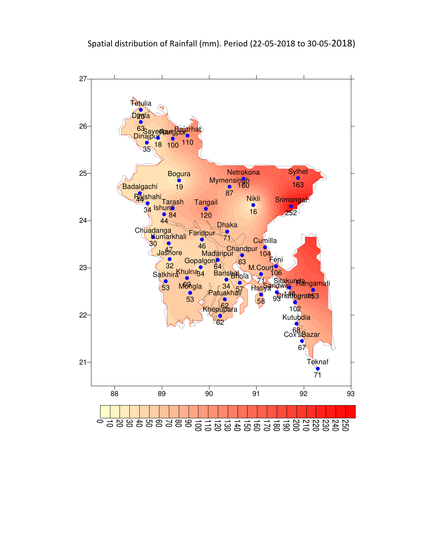

100 110 120 130 140 150 160 170 180 190 200 210 220 230 240 250

0 10 20 30 40 50 60 70 80 90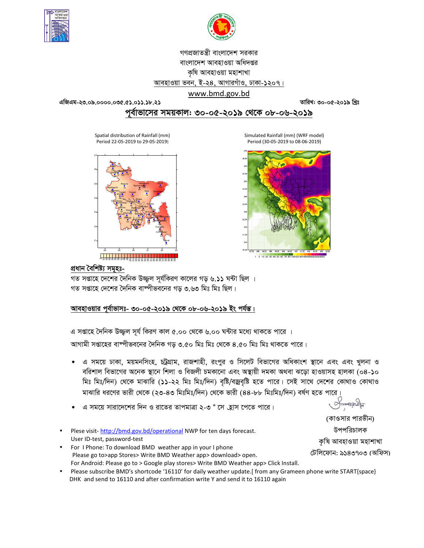



# গণপ্রজাতন্ত্রী বাংলাদেশ সরকার বাংলাদেশ আবহাওয়া অধিদপ্তর কৃষি আবহাওয়া মহাশাখা আবহাওয়া ভবন, ই-২৪, আগারগাঁও, ঢাকা-১২০৭।

### www.bmd.gov.bd

তারিখ: ৩০-০৫-২০১৯ খ্রিঃ

## পূর্বাভাসের সময়কাল: ৩০-০৫-২০১৯ থেকে ০৮-০৬-২০১৯

Spatial distribution of Rainfall (mm) Period 22-05-2019 to 29-05-2019)



Simulated Rainfall (mm) (WRF model) Period (30-05-2019 to 08-06-2019)



#### প্ৰধান বৈশিষ্ট্য সমূহঃ-

গত সপ্তাহে দেশের দৈনিক উজ্জল সর্যকিরণ কালের গড় ৬.১১ ঘন্টা ছিল । গত সপ্তাহে দেশের দৈনিক বাষ্পীভবনের গড ৩.৬৩ মিঃ মিঃ ছিল।

### আবহাওয়ার পূর্বাভাসঃ- ৩০-০৫-২০১৯ থেকে ০৮-০৬-২০১৯ ইং পর্যন্ত।

এ সপ্তাহে দৈনিক উজ্জুল সূর্য কিরণ কাল ৫.০০ থেকে ৬.০০ ঘন্টার মধ্যে থাকতে পারে ।

আগামী সপ্তাহের বাম্পীভবনের দৈনিক গড় ৩.৫০ মিঃ মিঃ থেকে ৪.৫০ মিঃ মিঃ থাকতে পারে।

- এ সময়ে ঢাকা, ময়মনসিংহ, চট্রগ্রাম, রাজশাহী, রংপুর ও সিলেট বিভাগের অধিকাংশ স্থানে এবং এবং খুলনা ও বরিশাল বিভাগের অনেক স্থানে শিলা ও বিজলী চমকানো এবং অস্থায়ী দমকা অথবা ঝড়ো হাওয়াসহ হালকা (০৪-১০ মিঃ মিঃ/দিন) থেকে মাঝারি (১১-২২ মিঃ মিঃ/দিন) বৃষ্টি/বজ্রবৃষ্টি হতে পারে। সেই সাথে দেশের কোথাও কোথাও মাঝারি ধরণের ভারী থেকে (২৩-৪৩ মিঃমিঃ/দিন) থেকে ভারী (৪৪-৮৮ মিঃমিঃ/দিন) বর্ষণ হতে পারে।
- এ সময়ে সারাদেশের দিন ও রাতের তাপমাত্রা ২-৩ ° সে হ্রাস পেতে পারে।
- Plese visit-http://bmd.gov.bd/operational NWP for ten days forecast. User ID-test, password-test
- For IPhone: To download BMD weather app in your Iphone Please go to>app Stores> Write BMD Weather app> download> open. For Android: Please go to > Google play stores> Write BMD Weather app> Click Install.
- Please subscribe BMD's shortcode '16110' for daily weather update. [from any Grameen phone write START{space} DHK and send to 16110 and after confirmation write Y and send it to 16110 again

Smonacla

(কাওসার পারভীন) উপপরিচালক কৃষি আবহাওয়া মহাশাখা টেলিফোন: ৯১৪৩৭০৩ (অফিস)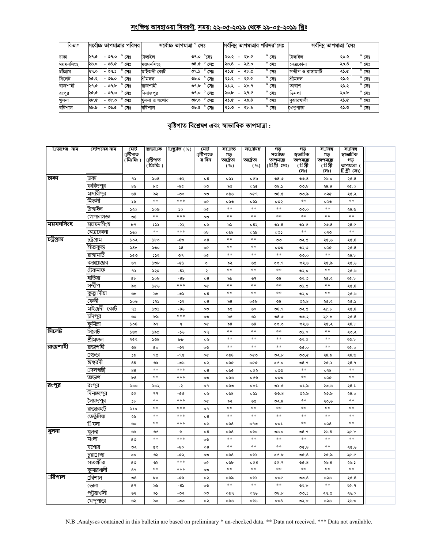## সংক্ষিপ্ত আবহাওয়া বিবরণী, সময়: ২২-০৫-২০১৯ থেকে ২৯-০৫-২০১৯ খ্রিঃ

| বিভাগ     | সর্বোচ্চ তাপমাত্রার পরিসর           | সৰোচ্চ তাপমাত্ৰা<br>সেঃ                | সর্বনিম তাপমাত্রার পরিসর <sup>o</sup> সেঃ                     | সৰ্বনিম্ন তাপমাত্ৰা °সেঃ                      |
|-----------|-------------------------------------|----------------------------------------|---------------------------------------------------------------|-----------------------------------------------|
| ঢাকা      | $^{\circ}$<br>২৭.৫<br>- ৩৭.০<br>সেঃ | টাঙ্গাইল<br>$^{\circ}$ সেঃ<br>৩৭.০     | $^{\circ}$ সেঃ<br>২৮.৫<br>২০.২<br>$\overline{\phantom{0}}$    | টাঙ্গাইল<br>$^{\circ}$ সেঃ<br>২০.২            |
| ময়মনসিংহ | - ৩৪.৫<br>২৬.০<br>সেঃ               | ময়মনসিংহ<br>$^{\circ}$ সেঃ<br>৩৪.৫    | $^{\circ}$ সেঃ<br>२०. $8$<br>২৫.০<br>$\overline{\phantom{0}}$ | $^{\circ}$ সেঃ<br>২০.৪<br>নেত্ৰকোনা           |
| চউগ্ৰাম   | $^{\circ}$ সেঃ<br>২৭.০<br>- ৩৭.১    | মাইজদী কোৰ্ট<br>$^{\circ}$ সেঃ<br>৩৭.১ | $^{\circ}$ সেঃ<br>২৮.৫<br>২১.৫<br>$\overline{\phantom{0}}$    | সম্বীপ ও রাঙ্গামাটি<br>$^{\circ}$ সেঃ<br>২১.৫ |
| সিলেট     | $^{\circ}$ সেঃ<br>২৫.২<br>-৩৬.০     | $^{\circ}$ সেঃ<br>শ্ৰীমঙ্গল<br>৩৬.০    | $^{\circ}$ সেঃ<br>২৫.৫<br>২১.২<br>$\overline{\phantom{0}}$    | শ্ৰীমঙ্গল<br>$^{\circ}$ সেঃ<br>২১.২           |
| রাজশাহী   | $-99.5$<br>সেঃ<br>২৭.৫              | রাজশাহী<br>$^{\circ}$ সেঃ<br>৩৭.৮      | $^{\circ}$ সেঃ<br>২৮.৭<br>২১.২<br>$\overline{\phantom{0}}$    | $^{\circ}$ সেঃ<br>২১.২<br>তারাশ               |
| রংপুর     | $^{\circ}$ সেঃ<br>- ৩৭.০<br>১.১২    | $^{\circ}$ সেঃ<br>৩৭.০<br>দিনাজপুর     | $^{\circ}$ সেঃ<br>২৭.৫<br>২০.৮<br>$\overline{\phantom{0}}$    | ডিমলা<br>$^{\circ}$ সেঃ<br>২০.৮               |
| খুলনা     | $^{\circ}$ সেঃ<br>২৮.৫<br>- ৩৮.০    | $^{\circ}$ সেঃ<br>Ob. 0<br>খলনা ও যশোর | $^{\circ}$ সেঃ<br>২৯.৪<br>২১.৫<br>$\overline{\phantom{a}}$    | কমারখালী<br>$^{\circ}$ সেঃ<br>২১.৫            |
| বরিশাল    | $^{\circ}$ সেঃ<br>- ৩৬.৫<br>২৯.৯    | বরিশাল<br>$^{\circ}$ সেঃ<br>৩৬.৫       | $^{\circ}$ সেঃ<br>২৮.৯<br>৩.৫২<br>$\overline{\phantom{0}}$    | $^{\circ}$ সেঃ<br>২১.৩<br>খেপুপাড়া           |

## বৃষ্টিপাত বিশ্লেষণ এবং স্বাভাবিক তাপমাত্ৰা:

| ািভাগের নাম | স্টেশনের নাম       | মেট                  | স্বাভা⊡ক        | িছ্যুতি (%)       | মোট                 | স⊔োচ্চ          | স⊡ানিম        | গড়                         | গড়                   | স⊡নিম            | স⊡নিম            |  |
|-------------|--------------------|----------------------|-----------------|-------------------|---------------------|-----------------|---------------|-----------------------------|-----------------------|------------------|------------------|--|
|             |                    | ⊔ষ্টিপাত<br>(মিঃমিঃ) | µষ্টিপাত        |                   | ্ৰষ্টিপাতে<br>র দিন | গড়<br>আৰ্দ্ৰতা | আৰ্দ্ৰতা      | স⊞চ্চি<br>তাপমাত্রা         | স্বভা∏িক<br>তাপমাত্রা | গড়<br>তাপমাত্রা | স্বাভা∏িক<br>গড় |  |
|             |                    |                      | ( মিঃমিঃ )      |                   |                     | ( %)            | ( %)          | (টিগ্রীসেঃ)                 | (টিগ্রী               | (টিগ্রী          | তাপমাত্রা (      |  |
|             |                    |                      |                 |                   |                     |                 |               |                             | সেঃ)                  | সেঃ)             | চিগ্ৰীসেঃ)       |  |
| ঢাকা        | ঢাকা               | ۹۵                   | 508             | -৩২               | $\circ 8$           | ০৯১             | ০৫৯           | 0.80                        | 00.8                  | ২৬.০             | ২৫.৪             |  |
|             | ফরিদপুর            | 8 <sub>9</sub>       | ৮৩              | $-80$             | ০৩                  | ৯৫              | ০৬৫           | 08.5                        | ৩৩.৮                  | 28.8             | ২৫.০             |  |
|             | মাদারীপুর          | ৬৪                   | ৯২              | -৩০               | ০৩                  | ০৯৬             | ०৫१           | 08.0                        | ৩৩.৯                  | ০২৫              | ২৫.২             |  |
|             | নিকলী              | ১৬                   | $\pm$ $\pm$     | $***$             | o¢                  | ০৯৩             | ০৬৯           | ০৩২                         | $\pm$ $\pm$           | ০২৩              | $\star$ $\star$  |  |
|             | টাঙ্গাইল           | ১২০                  | ১০৯             | ১০                | o¢                  | $* *$           | $**$          | $**$                        | 0.0                   | $**$             | ২৪.৬             |  |
|             | গোপালগজ্ঞ          | $\mathcal{S}8$       | $\pm$ $\pm$     | $* * *$           | ০৩                  | $**$            | $\ast$        | $\ast$                      | $\ast$ $\ast$         | $\ast$ $\ast$    | $\ast$           |  |
| ময়মনসিংহ   | ময়মনসিংহ          | ৮৭                   | ددد             | -২২               | ০৬                  | ৯১              | ০৪২           | 05.8                        | ৩১.৫                  | ২৩.৪             | 28.0             |  |
|             | নেত্রকোনা          | ১৬০                  | $\ast$          | $\ast\ast\ast$    | ob                  | ০৯৪             | ০৬৯           | ০৩১                         | $\ast$ $\ast$         | ০২৩              | $\ast$           |  |
| চট্ৰগ্ৰাম   | চট্ৰগ্ৰাম          | ১০২                  | $\delta$        | -80               | $\circ$ 8           | **              | $\pm$ $\pm$   | ৩৩                          | 0.50                  | ২৫.৬             | 20.8             |  |
|             | সীতাকুন্ড          | 58 <sub>b</sub>      | ১৩০             | 58                | o¢                  | $* *$           | $\pm$ $\pm$   | ೲಀ                          | ৩২.৩                  | ০২৫              | ২৫.৪             |  |
|             | রাঙ্গামার্টি       | ১৫৩                  | ১১২             | ৩৭                | o¢                  | $* *$           | $**$          | $\ast$ $\ast$               | 0.00                  | $**$             | 28.5             |  |
|             | কক্স⊔াজার          | ৬৭                   | ১৩৮             | -৫১               | ৩                   | ৯২              | ৬৫            | ৩৩.৭                        | ৩২.৬                  | ২৫.৯             | ২৫.৬             |  |
|             | টেকনাফ             | ۹১                   | ১২৩             | -8২               | ২                   | $**$            | $\ast$        | $**$                        | 02.0                  | $\ast$ $\ast$    | ৩.১২             |  |
|             | হাতিয়া            | ¢Ъ                   | 50 <sub>b</sub> | -৪৬               | 08                  | ৯৯              | ৬৭            | $\mathcal{O}8$              | ৩২.৩                  | ২৫.২             | ২৫.৮             |  |
|             | সন্দ্বীপ           | ৯৩                   | ১৫৬             | $\ast\ast\ast$    | o¢                  | $**$            | $\ast$ $\ast$ | $\ast$ $\ast$               | 0.6                   | $\ast$ $\ast$    | ২৫.৪             |  |
|             | <u>কুতু</u> □দীয়া | ৬৮                   | ৯৮              | -05               | $\circ$ 8           | $* *$           | $\pm$ $\pm$   | $\ast$ $\ast$               | ৩২.০                  | $\pm$ $\pm$      | ২৫.৬             |  |
|             | ফেনী               | ১০৬                  | ১২১             | -১২               | ο8                  | ৯৪              | ০৫৮           | $\mathcal{S}^{\mathcal{O}}$ | ৩২. $8$               | ২৫.২             | ২৫.১             |  |
|             | মাইজদী কোর্ট       | 95                   | 505             | -৪৬               | ০৩                  | ৯৫              | ৬০            | 08.9                        | 0.50                  | ২৫.৮             | ২৫.৪             |  |
|             | চাঁদপুর            | ৬৩                   | ৮৯              | $\ast\ast\ast$    | ০৩                  | ৯৫              | ৬২            | 0.80                        | 00.3                  | ২৫.৮             | ২৫.৪             |  |
|             | কুমিল্লা           | 508                  | ৯৭              | ٩                 | o¢                  | ৯৪              | ৬৪            | ৩৩.৩                        | ৩২.৬                  | ২৫.২             | 28.5             |  |
| সিলেট       | সিলেট              | ১৬৩                  | ১৯৫             | -১৬               | o٩                  | $* *$           | $\ast$ $\ast$ | **                          | ৩১.০                  | $* *$            | ২৩.২             |  |
|             | শ্ৰীমঙ্গল          | ২৫২                  | 508             | ${\tt b} {\tt b}$ | ০৬                  | **              | $\ast$ $\ast$ | **                          | ৩২.৫                  | **               | ২৩.৮             |  |
| রাজশাহী     | রাজশাহী            | $\mathcal{O}8$       | <b>CO</b>       | -৩২               | ಂ                   | $* *$           | $\ast$ $\ast$ | $\ast$ $\ast$               | 0.90                  | $\ast$ $\ast$    | ২৫.০             |  |
|             | ⊔গুড়া             | ১৯                   | 90              | -90               | o¢                  | ০৯৪             | ০৫৩           | ৩২.৮                        | ৩৩.৫                  | ২৪.৯             | ২৪.৬             |  |
|             | ঈশ্বরদী            | 88                   | ৬৯              | -৩৬               | ०२                  | ০৯৫             | 000           | ৩৫.০                        | 08.9                  | ২৫.১             | २8.१             |  |
|             | ⊔দলগাছী            | 88                   | $\ast$          | $* * *$           | 08                  | ০৯৫             | ০৫২           | ೦೦೦                         | $\ast$ $\ast$         | ০২৪              | $\ast$ $\ast$    |  |
|             | তাড়াশ             | b8                   | $\pm$ $\pm$     | ***               | ০৩                  | ০৯৬             | ০৫৬           | ೦೦೦                         | $\ast$ $\ast$         | ०२৫              | $\ast$ $\ast$    |  |
| রংপুর       | রংপুর              | 500                  | ১০২             | -২                | o٩                  | ০৯৩             | ০৮১           | 0.6                         | ৩১.৯                  | ২৩.৬             | 28.5             |  |
|             | দিনাজপুর           | ৩৫                   | ۹۹              | -00               | ০৬                  | ০৯৪             | ০৬১           | 00.8                        | ৩২.৯                  | ২৩.৯             | २8.०             |  |
|             | সেয়দপুর           | $\mathcal{P}$        | $\pm$ $\pm$     | ***               | o¢                  | ৯২              | ৬৫            | ৩২. $8$                     | $\ast\ast$            | ২৩.৬             | $\ast$ $\ast$    |  |
|             | রাজারহাট           | 550                  | $\ast$          | $* * *$           | o٩                  | **              | $\ast$ $\ast$ | $**$                        | $\ast$ $\ast$         | $\ast$ $\ast$    | **               |  |
|             | তেতুঁলিয়া         | ২৬                   | $\ast$          | ***               | $\circ$ 8           | **              | $**$          | $\ast$                      | **                    | $**$             | $**$             |  |
|             | াি মলা             | ৬৩                   | $\pm$ $\pm$     | $* * *$           | ০৬                  | ০৯৪             | ০৭৩           | ০৩১                         | $**$                  | 0.38             | $**$             |  |
| খুলনা       | খুলনা              | ৬৯                   | ৬৫              | ৬                 | $\circ$ 8           | $\circ$ ৯৪      | ০৬০           | ৩৬.০                        | 08.9                  | ২৬.৪             | ২৫.৮             |  |
|             | মংলা               | ৫৩                   | $\ast$          | $* * *$           | ০৩                  | **              | $**$          | **                          | $\ast$ $\ast$         | **               | $\ast$ $\ast$    |  |
|             | যশোর               | ৩২                   | ৫৩              | $-80$             | $\circ 8$           | $\pm$ $\pm$     | $\ast$ $\ast$ | **                          | 0.8                   | $\ast$ $\ast$    | ৩.১২             |  |
|             | চয়া⊡াঙ্গা         | ৩০                   | ৬২              | $-0.5$            | $\circ$             | ০৯৪             | ০৬১           | 00.5                        | 0C.8                  | ২৫.৯             | ২৫.৫             |  |
|             | সাতক্ষীরা          | ৫৩                   | ৬২              | ***               | o¢                  | ০৯৮             | 0@8           | ৩৫.৭                        | 0C.8                  | ২৬.৪             | ২৬.১             |  |
|             | কুমারখালী          | 89                   | $\ast$          | ***               | ০৩                  | $* *$           | $\ast$ $\ast$ | $\ast$ $\ast$               | $\ast$                | $\ast$           | $\ast$           |  |
| ারিশাল      | ⊔রিশাল             | $\mathcal{S}^8$      | ৮৩              | -৫৯               | ০২                  | ০৯৯             | ০৬১           | ০৩৫                         | 00.8                  | ০২৬              | ২৫.৪             |  |
|             | ভোলা               | ¢۹                   | ৯৬              | -85               | ০৩                  | $**$            | $**$          | **                          | ৩২.৮                  | $**$             | ২৫.৭             |  |
|             | পটুয়াখালী         | ৬২                   | ৯১              | -৩২               | ০৩                  | ০৯৭             | ০৬৬           | 08.5                        | 00.5                  | ২৭.৫             | ২৬.০             |  |
|             | খেপপাডা            | ৬২                   | ৯৩              | -৩৩               | ০২                  | ০৯৬             | ০৬৬           | 008                         | ৩২.৮                  | ০২৬              | ২৬.৩             |  |